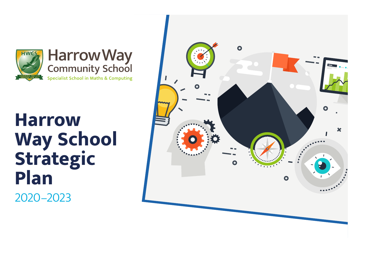

# **Harrow Way School Strategic Plan** 2020–2023

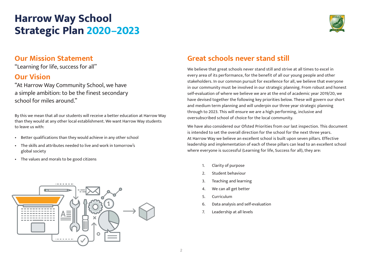# **Harrow Way School Strategic Plan 2020–2023**



### **Our Mission Statement**

"Learning for life, success for all''

### **Our Vision**

"At Harrow Way Community School, we have a simple ambition: to be the finest secondary school for miles around."

By this we mean that all our students will receive a better education at Harrow Way than they would at any other local establishment. We want Harrow Way students to leave us with:

- Better qualifications than they would achieve in any other school
- The skills and attributes needed to live and work in tomorrow's global society
- The values and morals to be good citizens



### **Great schools never stand still**

We believe that great schools never stand still and strive at all times to excel in every area of its performance, for the benefit of all our young people and other stakeholders. In our common pursuit for excellence for all, we believe that everyone in our community must be involved in our strategic planning. From robust and honest self-evaluation of where we believe we are at the end of academic year 2019/20, we have devised together the following key priorities below. These will govern our short and medium term planning and will underpin our three year strategic planning through to 2023. This will ensure we are a high performing, inclusive and oversubscribed school of choice for the local community.

We have also considered our Ofsted Priorities from our last inspection. This document is intended to set the overall direction for the school for the next three years. At Harrow Way we believe an excellent school is built upon seven pillars. Effective leadership and implementation of each of these pillars can lead to an excellent school where everyone is successful (Learning for life, Success for all), they are:

- 1. Clarity of purpose
- 2. Student behaviour
- 3. Teaching and learning
- 4. We can all get better
- 5. Curriculum
- 6. Data analysis and self-evaluation
- 7. Leadership at all levels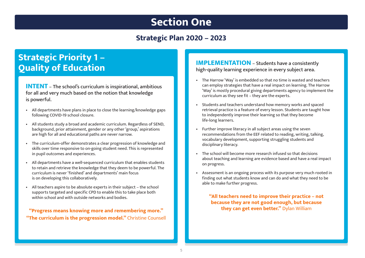## **Section One**

### **Strategic Plan 2020 – 2023**

### **Strategic Priority 1 – Quality of Education**

**INTENT** – The school's curriculum is inspirational, ambitious for all and very much based on the notion that knowledge is powerful.

- All departments have plans in place to close the learning/knowledge gaps following COVID-19 school closure.
- All students study a broad and academic curriculum. Regardless of SEND, background, prior attainment, gender or any other 'group,' aspirations are high for all and educational paths are never narrow.
- The curriculum-offer demonstrates a clear progression of knowledge and skills over time responsive to on-going student need. This is represented in pupil outcomes and experiences.
- All departments have a well-sequenced curriculum that enables students to retain and retrieve the knowledge that they deem to be powerful. The curriculum is never 'finished' and departments' main focus is on developing this collaboratively.
- All teachers aspire to be absolute experts in their subject the school supports targeted and specific CPD to enable this to take place both within school and with outside networks and bodies.

**"Progress means knowing more and remembering more." "The curriculum is the progression model.''** Christine Counsell **IMPLEMENTATION** – Students have a consistently high-quality learning experience in every subject area.

- The Harrow 'Way' is embedded so that no time is wasted and teachers can employ strategies that have a real impact on learning. The Harrow 'Way' is mostly procedural giving departments agency to implement the curriculum as they see fit – they are the experts.
- Students and teachers understand how memory works and spaced retrieval practice is a feature of every lesson. Students are taught how to independently improve their learning so that they become life-long learners.
- Further improve literacy in all subject areas using the seven recommendations from the EEF related to reading, writing, talking, vocabulary development, supporting struggling students and disciplinary literacy.
- The school will become more research infused so that decisions about teaching and learning are evidence based and have a real impact on progress.
- Assessment is an ongoing process with its purpose very much rooted in finding out what students know and can do and what they need to be able to make further progress.

**"All teachers need to improve their practice – not because they are not good enough, but because they can get even better.''** Dylan William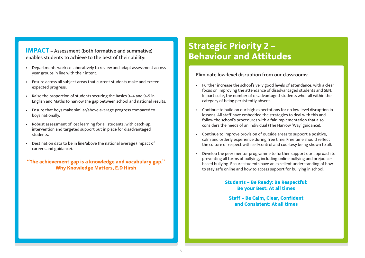#### **IMPACT** – Assessment (both formative and summative) enables students to achieve to the best of their ability:

- Departments work collaboratively to review and adapt assessment across year groups in line with their intent.
- Ensure across all subject areas that current students make and exceed expected progress.
- Raise the proportion of students securing the Basics 9–4 and 9–5 in English and Maths to narrow the gap between school and national results.
- Ensure that boys make similar/above average progress compared to boys nationally.
- Robust assessment of lost learning for all students, with catch-up, intervention and targeted support put in place for disadvantaged students.
- Destination data to be in line/above the national average (impact of careers and guidance).

**"The achievement gap is a knowledge and vocabulary gap." Why Knowledge Matters, E.D Hirsh**

### **Strategic Priority 2 – Behaviour and Attitudes**

#### Eliminate low-level disruption from our classrooms:

- Further increase the school's very good levels of attendance, with a clear focus on improving the attendance of disadvantaged students and SEN. In particular, the number of disadvantaged students who fall within the category of being persistently absent.
- Continue to build on our high expectations for no low-level disruption in lessons. All staff have embedded the strategies to deal with this and follow the school's procedures with a fair implementation that also considers the needs of an individual (The Harrow 'Way' guidance).
- Continue to improve provision of outside areas to support a positive, calm and orderly experience during free time. Free time should reflect the culture of respect with self-control and courtesy being shown to all.
- Develop the peer mentor programme to further support our approach to preventing all forms of bullying, including online bullying and prejudicebased bullying. Ensure students have an excellent understanding of how to stay safe online and how to access support for bullying in school.

#### **Students – Be Ready: Be Respectful: Be your Best: At all times**

**Staff – Be Calm, Clear, Confident and Consistent: At all times**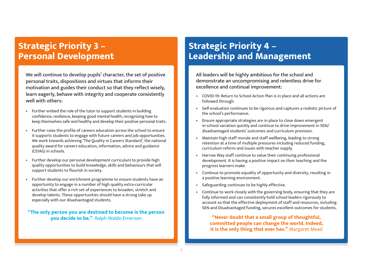### **Strategic Priority 3 – Personal Development**

We will continue to develop pupils' character, the set of positive personal traits, dispositions and virtues that informs their motivation and guides their conduct so that they reflect wisely, learn eagerly, behave with integrity and cooperate consistently well with others:

- Further embed the role of the tutor to support students in building confidence, resilience, keeping good mental health, recognising how to keep themselves safe and healthy and develop their positive personal traits.
- Further raise the profile of careers education across the school to ensure it supports students to engage with future careers and job opportunities. We work towards achieving 'The Quality in Careers Standard', the national quality award for careers education, information, advice and guidance (CEIAG) in schools.
- Further develop our personal development curriculum to provide high quality opportunities to build knowledge, skills and behaviours that will support students to flourish in society.
- Further develop our enrichment programme to ensure students have an opportunity to engage in a number of high quality extra-curricular activities that offer a rich set of experiences to broaden, stretch and develop talents. These opportunities should have a strong take up especially with our disadvantaged students.

#### **"The only person you are destined to become is the person you decide to be."** Ralph Waldo Emerson

### **Strategic Priority 4 – Leadership and Management**

All leaders will be highly ambitious for the school and demonstrate an uncompromising and relentless drive for excellence and continual improvement:

- COVID-19: Return to School Action Plan is in place and all actions are followed through.
- Self-evaluation continues to be rigorous and captures a realistic picture of the school's performance.
- Ensure appropriate strategies are in place to close down emergent in-school variation quickly and continue to drive improvement in SEN/ disadvantaged students' outcomes and curriculum provision.
- Maintain high staff morale and staff wellbeing, leading to strong retention at a time of multiple pressures including reduced funding, curriculum reform and issues with teacher supply.
- Harrow Way staff continue to value their continuing professional development. It is having a positive impact on their teaching and the progress learners make.
- Continue to promote equality of opportunity and diversity, resulting in a positive learning environment.
- Safeguarding continues to be highly effective.
- Continue to work closely with the governing body, ensuring that they are fully informed and can consistently hold school leaders rigorously to account so that the effective deployment of staff and resources, including SEN and Disadvantaged funding, secures excellent outcomes for students.

**"Never doubt that a small group of thoughtful, committed people can change the world. Indeed, it is the only thing that ever has.''** Margaret Mead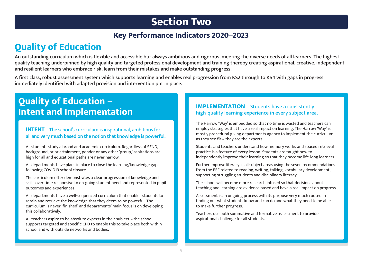# **Section Two**

### **Key Performance Indicators 2020–2023**

# **Quality of Education**

An outstanding curriculum which is flexible and accessible but always ambitious and rigorous, meeting the diverse needs of all learners. The highest quality teaching underpinned by high quality and targeted professional development and training thereby creating aspirational, creative, independent and resilient learners who embrace risk, learn from their mistakes and make outstanding progress.

A first class, robust assessment system which supports learning and enables real progression from KS2 through to KS4 with gaps in progress immediately identified with adapted provision and intervention put in place.

# **Quality of Education –**

#### **INTENT** – The school's curriculum is inspirational, ambitious for all and very much based on the notion that knowledge is powerful.

All students study a broad and academic curriculum. Regardless of SEND, background, prior attainment, gender or any other 'group,' aspirations are high for all and educational paths are never narrow.

All departments have plans in place to close the learning/knowledge gaps following COVID19 school closure.

The curriculum offer demonstrates a clear progression of knowledge and skills over time responsive to on-going student need and represented in pupil outcomes and experiences.

All departments have a well-sequenced curriculum that enables students to retain and retrieve the knowledge that they deem to be powerful. The curriculum is never 'finished' and departments' main focus is on developing this collaboratively.

All teachers aspire to be absolute experts in their subject – the school supports targeted and specific CPD to enable this to take place both within school and with outside networks and bodies.

#### **IMPLEMENTATION** – Students have a consistently<br> **IMPLEMENTATION** – Students have a consistently<br> **INTENT AND IMPLEMENTATION** – Students have a consistently high-quality learning experience in every subject area.

The Harrow 'Way' is embedded so that no time is wasted and teachers can employ strategies that have a real impact on learning. The Harrow 'Way' is mostly procedural giving departments agency to implement the curriculum as they see fit – they are the experts.

Students and teachers understand how memory works and spaced retrieval practice is a feature of every lesson. Students are taught how to independently improve their learning so that they become life-long learners.

Further improve literacy in all subject areas using the seven recommendations from the EEF related to reading, writing, talking, vocabulary development, supporting struggling students and disciplinary literacy.

The school will become more research infused so that decisions about teaching and learning are evidence based and have a real impact on progress.

Assessment is an ongoing process with its purpose very much rooted in finding out what students know and can do and what they need to be able to make further progress.

Teachers use both summative and formative assessment to provide aspirational challenge for all students.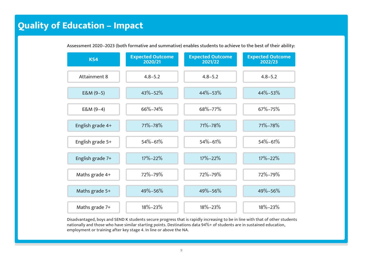## **Quality of Education – Impact**

| KS4                 | <b>Expected Outcome</b><br>2020/21 | <b>Expected Outcome</b><br>2021/22 | <b>Expected Outcome</b><br>2022/23 |
|---------------------|------------------------------------|------------------------------------|------------------------------------|
| <b>Attainment 8</b> | $4.8 - 5.2$                        | $4.8 - 5.2$                        | $4.8 - 5.2$                        |
| $E&M(9-5)$          | 43%-52%                            | 44%-53%                            | 44%-53%                            |
| $E&M(9-4)$          | 66%-74%                            | 68%-77%                            | 67%-75%                            |
| English grade 4+    | 71%-78%                            | 71%-78%                            | 71%-78%                            |
| English grade 5+    | 54%-61%                            | 54%-61%                            | 54%-61%                            |
| English grade 7+    | $17\% - 22\%$                      | $17\% - 22\%$                      | $17\% - 22\%$                      |
| Maths grade 4+      | 72%-79%                            | 72%-79%                            | 72%-79%                            |
| Maths grade 5+      | 49%-56%                            | 49%-56%                            | 49%-56%                            |
| Maths grade 7+      | 18%-23%                            | $18\% - 23\%$                      | 18%-23%                            |

Assessment 2020–2023 (both formative and summative) enables students to achieve to the best of their ability:

Disadvantaged, boys and SEND K students secure progress that is rapidly increasing to be in line with that of other students nationally and those who have similar starting points. Destinations data 94%+ of students are in sustained education, employment or training after key stage 4. In line or above the NA.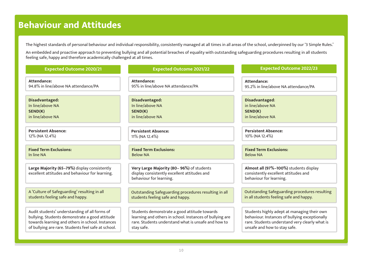### **Behaviour and Attitudes**

The highest standards of personal behaviour and individual responsibility, consistently managed at all times in all areas of the school, underpinned by our '3 Simple Rules.'

An embedded and proactive approach to preventing bullying and all potential breaches of equality with outstanding safeguarding procedures resulting in all students feeling safe, happy and therefore academically challenged at all times.

| <b>Expected Outcome 2020/21</b>                                                                 | <b>Expected Outcome 2021/22</b>                                                                                     | <b>Expected Outcome 2022/23</b>                                                                           |
|-------------------------------------------------------------------------------------------------|---------------------------------------------------------------------------------------------------------------------|-----------------------------------------------------------------------------------------------------------|
| Attendance:                                                                                     | Attendance:                                                                                                         | Attendance:                                                                                               |
| 94.8% in line/above NA attendance/PA                                                            | 95% in line/above NA attendance/PA                                                                                  | 95.2% in line/above NA attendance/PA                                                                      |
| Disadvantaged:                                                                                  | Disadvantaged:                                                                                                      | Disadvantaged:                                                                                            |
| In line/above NA                                                                                | In line/above NA                                                                                                    | in line/above NA                                                                                          |
| SEND(K)                                                                                         | SEND(K)                                                                                                             | SEND(K)                                                                                                   |
| in line/above NA                                                                                | in line/above NA                                                                                                    | in line/above NA                                                                                          |
| <b>Persistent Absence:</b>                                                                      | <b>Persistent Absence:</b>                                                                                          | <b>Persistent Absence:</b>                                                                                |
| 12% (NA 12.4%)                                                                                  | 11% (NA 12.4%)                                                                                                      | 10% (NA 12.4%)                                                                                            |
| <b>Fixed Term Exclusions:</b>                                                                   | <b>Fixed Term Exclusions:</b>                                                                                       | <b>Fixed Term Exclusions:</b>                                                                             |
| In line NA                                                                                      | <b>Below NA</b>                                                                                                     | <b>Below NA</b>                                                                                           |
| Large Majority (65-79%) display consistently<br>excellent attitudes and behaviour for learning. | Very Large Majority (80-96%) of students<br>display consistently excellent attitudes and<br>behaviour for learning. | Almost all (97%-100%) students display<br>consistently excellent attitudes and<br>behaviour for learning. |
| A 'Culture of Safeguarding' resulting in all                                                    | Outstanding Safeguarding procedures resulting in all                                                                | <b>Outstanding Safeguarding procedures resulting</b>                                                      |
| students feeling safe and happy.                                                                | students feeling safe and happy.                                                                                    | in all students feeling safe and happy.                                                                   |
| Audit students' understanding of all forms of                                                   | Students demonstrate a good attitude towards                                                                        | Students highly adept at managing their own                                                               |
| bullying. Students demonstrate a good attitude                                                  | learning and others in school. Instances of bullying are                                                            | behaviour. Instances of bullying exceptionally                                                            |
| towards learning and others in school. Instances                                                | rare. Students understand what is unsafe and how to                                                                 | rare. Students understand very clearly what is                                                            |
| of bullying are rare. Students feel safe at school.                                             | stay safe.                                                                                                          | unsafe and how to stay safe.                                                                              |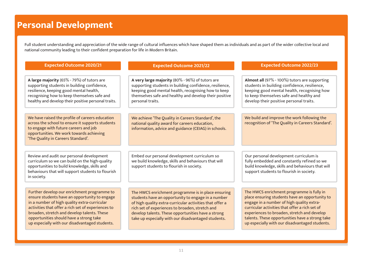### **Personal Development**

Full student understanding and appreciation of the wide range of cultural influences which have shaped them as individuals and as part of the wider collective local and national community leading to their confident preparation for life in Modern Britain.

| <b>Expected Outcome 2020/21</b>                                                                                                                                                                                                                                                                                                                | <b>Expected Outcome 2021/22</b>                                                                                                                                                                                                                                                                                                      | <b>Expected Outcome 2022/23</b>                                                                                                                                                                                                                                                                                                                |
|------------------------------------------------------------------------------------------------------------------------------------------------------------------------------------------------------------------------------------------------------------------------------------------------------------------------------------------------|--------------------------------------------------------------------------------------------------------------------------------------------------------------------------------------------------------------------------------------------------------------------------------------------------------------------------------------|------------------------------------------------------------------------------------------------------------------------------------------------------------------------------------------------------------------------------------------------------------------------------------------------------------------------------------------------|
| A large majority (65% - 79%) of tutors are<br>supporting students in building confidence,<br>resilience, keeping good mental health,<br>recognising how to keep themselves safe and<br>healthy and develop their positive personal traits.                                                                                                     | A very large majority (80% - 96%) of tutors are<br>supporting students in building confidence, resilience,<br>keeping good mental health, recognising how to keep<br>themselves safe and healthy and develop their positive<br>personal traits.                                                                                      | Almost all (97% - 100%) tutors are supporting<br>students in building confidence, resilience,<br>keeping good mental health, recognising how<br>to keep themselves safe and healthy and<br>develop their positive personal traits.                                                                                                             |
| We have raised the profile of careers education<br>across the school to ensure it supports students<br>to engage with future careers and job<br>opportunities. We work towards achieving<br>'The Quality in Careers Standard'.                                                                                                                 | We achieve 'The Quality in Careers Standard', the<br>national quality award for careers education,<br>information, advice and guidance (CEIAG) in schools.                                                                                                                                                                           | We build and improve the work following the<br>recognition of 'The Quality in Careers Standard'.                                                                                                                                                                                                                                               |
| Review and audit our personal development<br>curriculum so we can build on the high-quality<br>opportunities to build knowledge, skills and<br>behaviours that will support students to flourish<br>in society.                                                                                                                                | Embed our personal development curriculum so<br>we build knowledge, skills and behaviours that will<br>support students to flourish in society.                                                                                                                                                                                      | Our personal development curriculum is<br>fully embedded and constantly refined so we<br>build knowledge, skills and behaviours that will<br>support students to flourish in society.                                                                                                                                                          |
| Further develop our enrichment programme to<br>ensure students have an opportunity to engage<br>in a number of high quality extra-curricular<br>activities that offer a rich set of experiences to<br>broaden, stretch and develop talents. These<br>opportunities should have a strong take<br>up especially with our disadvantaged students. | The HWCS enrichment programme is in place ensuring<br>students have an opportunity to engage in a number<br>of high quality extra-curricular activities that offer a<br>rich set of experiences to broaden, stretch and<br>develop talents. These opportunities have a strong<br>take up especially with our disadvantaged students. | The HWCS enrichment programme is fully in<br>place ensuring students have an opportunity to<br>engage in a number of high quality extra-<br>curricular activities that offer a rich set of<br>experiences to broaden, stretch and develop<br>talents. These opportunities have a strong take<br>up especially with our disadvantaged students. |